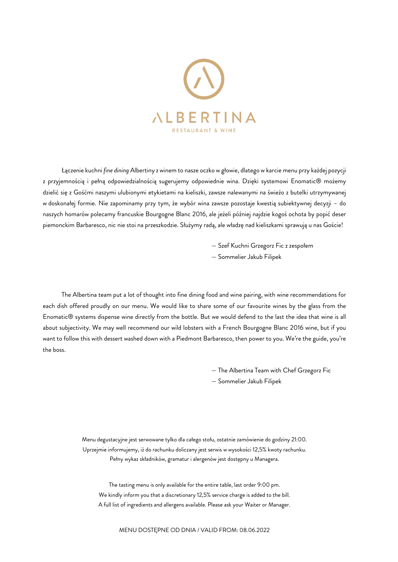

Łączenie kuchni *fine dining* Albertiny z winem to nasze oczko w głowie, dlatego w karcie menu przy każdej pozycji z przyjemnością i pełną odpowiedzialnością sugerujemy odpowiednie wina. Dzięki systemowi Enomatic® możemy dzielić się z Gośćmi naszymi ulubionymi etykietami na kieliszki, zawsze nalewanymi na świeżo z butelki utrzymywanej w doskonałej formie. Nie zapominamy przy tym, że wybór wina zawsze pozostaje kwestią subiektywnej decyzji – do naszych homarów polecamy francuskie Bourgogne Blanc 2016, ale jeżeli później najdzie kogoś ochota by popić deser piemonckim Barbaresco, nic nie stoi na przeszkodzie. Służymy radą, ale władzę nad kieliszkami sprawują u nas Goście!

— Szef Kuchni Grzegorz Fic z zespołem

— Sommelier Jakub Filipek

The Albertina team put a lot of thought into fine dining food and wine pairing, with wine recommendations for each dish offered proudly on our menu. We would like to share some of our favourite wines by the glass from the Enomatic® systems dispense wine directly from the bottle. But we would defend to the last the idea that wine is all about subjectivity. We may well recommend our wild lobsters with a French Bourgogne Blanc 2016 wine, but if you want to follow this with dessert washed down with a Piedmont Barbaresco, then power to you. We're the guide, you're the boss.

> — The Albertina Team with Chef Grzegorz Fic — Sommelier Jakub Filipek

Menu degustacyjne jest serwowane tylko dla całego stołu, ostatnie zamówienie do godziny 21:00. Uprzejmie informujemy, iż do rachunku doliczany jest serwis w wysokości 12,5% kwoty rachunku. Pełny wykaz składników, gramatur i alergenów jest dostępny u Managera.

The tasting menu is only available for the entire table, last order 9:00 pm. We kindly inform you that a discretionary 12,5% service charge is added to the bill. A full list of ingredients and allergens available. Please ask your Waiter or Manager.

MENU DOSTĘPNE OD DNIA / VALID FROM: 08.06.2022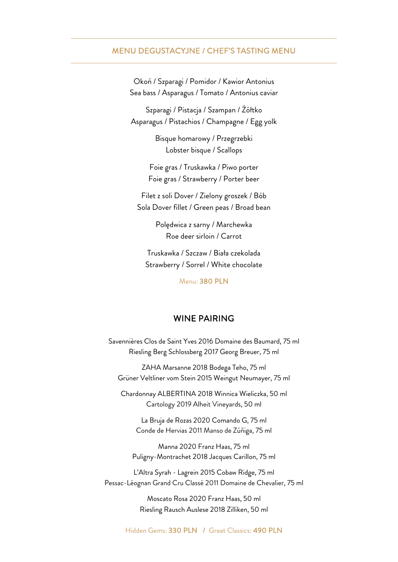#### MENU DEGUSTACYJNE / CHEF'S TASTING MENU

Okoń / Szparagi / Pomidor / Kawior Antonius Sea bass / Asparagus / Tomato / Antonius caviar

Szparagi / Pistacja / Szampan / Żółtko Asparagus / Pistachios / Champagne / Egg yolk

> Bisque homarowy / Przegrzebki Lobster bisque / Scallops

Foie gras / Truskawka / Piwo porter Foie gras / Strawberry / Porter beer

Filet z soli Dover / Zielony groszek / Bób Sola Dover fillet / Green peas / Broad bean

> Polędwica z sarny / Marchewka Roe deer sirloin / Carrot

Truskawka / Szczaw / Biała czekolada Strawberry / Sorrel / White chocolate

Menu: 380 PLN

#### WINE PAIRING

Savennières Clos de Saint Yves 2016 Domaine des Baumard, 75 ml Riesling Berg Schlossberg 2017 Georg Breuer, 75 ml

ZAHA Marsanne 2018 Bodega Teho, 75 ml Grüner Veltliner vom Stein 2015 Weingut Neumayer, 75 ml

Chardonnay ALBERTINA 2018 Winnica Wieliczka, 50 ml Cartology 2019 Alheit Vineyards, 50 ml

La Bruja de Rozas 2020 Comando G, 75 ml Conde de Hervias 2011 Manso de Zúñiga, 75 ml

Manna 2020 Franz Haas, 75 ml Puligny-Montrachet 2018 Jacques Carillon, 75 ml

L'Altra Syrah - Lagrein 2015 Cobaw Ridge, 75 ml Pessac-Léognan Grand Cru Classé 2011 Domaine de Chevalier, 75 ml

> Moscato Rosa 2020 Franz Haas, 50 ml Riesling Rausch Auslese 2018 Zilliken, 50 ml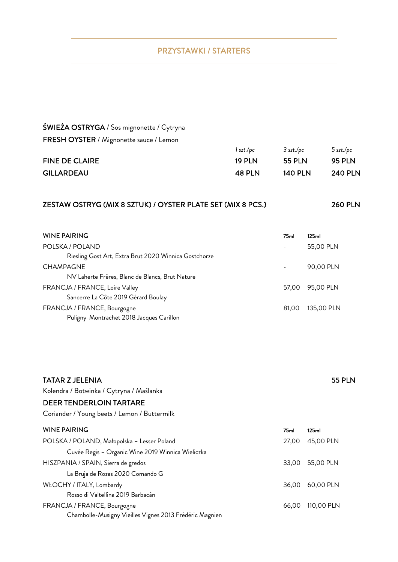## PRZYSTAWKI / STARTERS

# ŚWIEŻA OSTRYGA / Sos mignonette / Cytryna FRESH OYSTER / Mignonette sauce / Lemon

|                       | 1 szt./pc | 3 szt./pc      | 5 szt./pc      |
|-----------------------|-----------|----------------|----------------|
| <b>FINE DE CLAIRE</b> | 19 PI N   | 55 PLN         | 95 PLN         |
| <b>GILLARDEAU</b>     | 48 PLN    | <b>140 PLN</b> | <b>240 PLN</b> |

## ZESTAW OSTRYG (MIX 8 SZTUK) / OYSTER PLATE SET (MIX 8 PCS.) 260 PLN

| WINE PAIRING                                          | 75ml  | 125ml      |
|-------------------------------------------------------|-------|------------|
| POLSKA / POLAND                                       |       | 55,00 PLN  |
| Riesling Gost Art, Extra Brut 2020 Winnica Gostchorze |       |            |
| <b>CHAMPAGNE</b>                                      |       | 90,00 PLN  |
| NV Laherte Frères, Blanc de Blancs, Brut Nature       |       |            |
| FRANCJA / FRANCE, Loire Valley                        | 57.00 | 95,00 PLN  |
| Sancerre La Côte 2019 Gérard Boulay                   |       |            |
| FRANCJA / FRANCE, Bourgogne                           | 81.00 | 135,00 PLN |
| Puligny-Montrachet 2018 Jacques Carillon              |       |            |

|                  | <b>55 PLN</b> |
|------------------|---------------|
|                  |               |
|                  |               |
|                  |               |
| 75 <sub>ml</sub> | 125ml         |
| 27,00            | 45,00 PLN     |
|                  |               |
| 33.00            | 55,00 PLN     |
|                  |               |
| 36,00            | 60,00 PLN     |
|                  |               |
| 66,00            | 110,00 PLN    |
|                  |               |
|                  |               |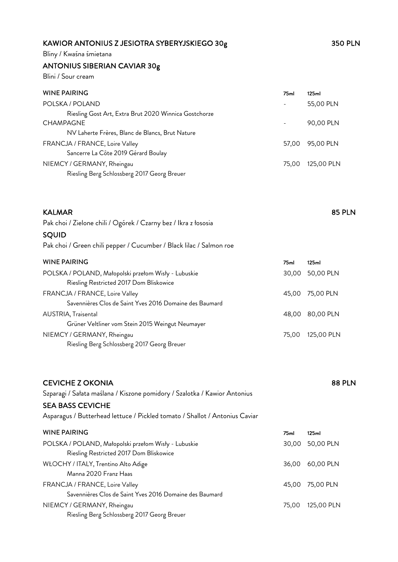# KAWIOR ANTONIUS Z JESIOTRA SYBERYJSKIEGO 30g<br>350 PLN

Bliny / Kwaśna śmietana

# ANTONIUS SIBERIAN CAVIAR 30g

Blini / Sour cream

| 75 <sub>ml</sub> | 125ml      |
|------------------|------------|
|                  | 55,00 PLN  |
|                  |            |
|                  | 90,00 PLN  |
|                  |            |
| 57.00            | 95,00 PLN  |
|                  |            |
| 75.00            | 125,00 PLN |
|                  |            |
|                  |            |

| <b>KALMAR</b>                                                       |       | <b>85 PLN</b> |
|---------------------------------------------------------------------|-------|---------------|
| Pak choi / Zielone chili / Ogórek / Czarny bez / Ikra z łososia     |       |               |
| SQUID                                                               |       |               |
| Pak choi / Green chili pepper / Cucumber / Black lilac / Salmon roe |       |               |
| <b>WINE PAIRING</b>                                                 | 75ml  | 125ml         |
| POLSKA / POLAND, Małopolski przełom Wisły - Lubuskie                | 30.00 | 50,00 PLN     |
| Riesling Restricted 2017 Dom Bliskowice                             |       |               |
| FRANCJA / FRANCE, Loire Valley                                      | 45,00 | 75,00 PLN     |
| Savennières Clos de Saint Yves 2016 Domaine des Baumard             |       |               |
| AUSTRIA, Traisental                                                 | 48,00 | 80,00 PLN     |
| Grüner Veltliner vom Stein 2015 Weingut Neumayer                    |       |               |
| NIEMCY / GERMANY, Rheingau                                          | 75.00 | 125,00 PLN    |
| Riesling Berg Schlossberg 2017 Georg Breuer                         |       |               |

| <b>CEVICHE Z OKONIA</b><br>Szparagi / Sałata maślana / Kiszone pomidory / Szalotka / Kawior Antonius<br><b>SEA BASS CEVICHE</b><br>Asparagus / Butterhead lettuce / Pickled tomato / Shallot / Antonius Caviar |       | <b>88 PLN</b> |
|----------------------------------------------------------------------------------------------------------------------------------------------------------------------------------------------------------------|-------|---------------|
| <b>WINE PAIRING</b>                                                                                                                                                                                            | 75ml  | 125ml         |
| POLSKA / POLAND, Małopolski przełom Wisły - Lubuskie                                                                                                                                                           | 30,00 | 50,00 PLN     |
| Riesling Restricted 2017 Dom Bliskowice                                                                                                                                                                        |       |               |
| WŁOCHY / ITALY, Trentino Alto Adige                                                                                                                                                                            | 36.00 | 60,00 PLN     |
| Manna 2020 Franz Haas                                                                                                                                                                                          |       |               |
| FRANCJA / FRANCE, Loire Valley                                                                                                                                                                                 | 45.00 | 75,00 PLN     |
| Savennières Clos de Saint Yves 2016 Domaine des Baumard                                                                                                                                                        |       |               |
| NIEMCY / GERMANY, Rheingau                                                                                                                                                                                     | 75.00 | 125,00 PLN    |
| Riesling Berg Schlossberg 2017 Georg Breuer                                                                                                                                                                    |       |               |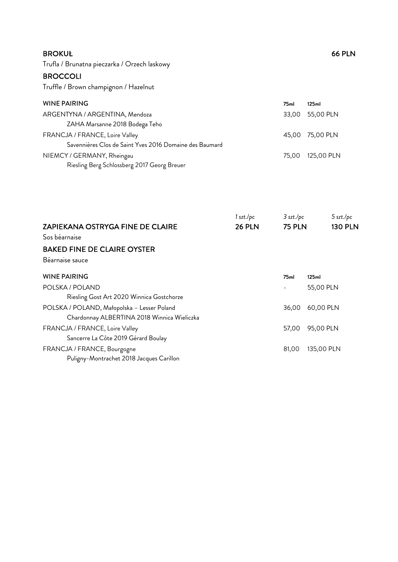| <b>BROKUŁ</b> | <b>66 PLN</b> |
|---------------|---------------|
|---------------|---------------|

Trufla / Brunatna pieczarka / Orzech laskowy

#### **BROCCOLI**

Truffle / Brown champignon / Hazelnut

| <b>WINE PAIRING</b>                                     | 75ml  | 125ml            |
|---------------------------------------------------------|-------|------------------|
| ARGENTYNA / ARGENTINA, Mendoza                          | 33,00 | 55,00 PLN        |
| ZAHA Marsanne 2018 Bodega Teho                          |       |                  |
| FRANCJA / FRANCE, Loire Valley                          |       | 45,00 75,00 PLN  |
| Savennières Clos de Saint Yves 2016 Domaine des Baumard |       |                  |
| NIEMCY / GERMANY, Rheingau                              |       | 75.00 125.00 PLN |
| Riesling Berg Schlossberg 2017 Georg Breuer             |       |                  |

|                                             | 1 szt./pc     | $3$ szt./pc      | 5 szt./pc      |
|---------------------------------------------|---------------|------------------|----------------|
| <b>ZAPIEKANA OSTRYGA FINE DE CLAIRE</b>     | <b>26 PLN</b> | <b>75 PLN</b>    | <b>130 PLN</b> |
| Sos béarnaise                               |               |                  |                |
| <b>BAKED FINE DE CLAIRE OYSTER</b>          |               |                  |                |
| Béarnaise sauce                             |               |                  |                |
| <b>WINE PAIRING</b>                         |               | 75 <sub>ml</sub> | 125ml          |
| POLSKA / POLAND                             |               |                  | 55,00 PLN      |
| Riesling Gost Art 2020 Winnica Gostchorze   |               |                  |                |
| POLSKA / POLAND, Małopolska - Lesser Poland |               | 36,00            | 60,00 PLN      |
| Chardonnay ALBERTINA 2018 Winnica Wieliczka |               |                  |                |
| FRANCJA / FRANCE, Loire Valley              |               | 57,00            | 95,00 PLN      |
| Sancerre La Côte 2019 Gérard Boulay         |               |                  |                |
| FRANCJA / FRANCE, Bourgogne                 |               | 81,00            | 135,00 PLN     |
| Puligny-Montrachet 2018 Jacques Carillon    |               |                  |                |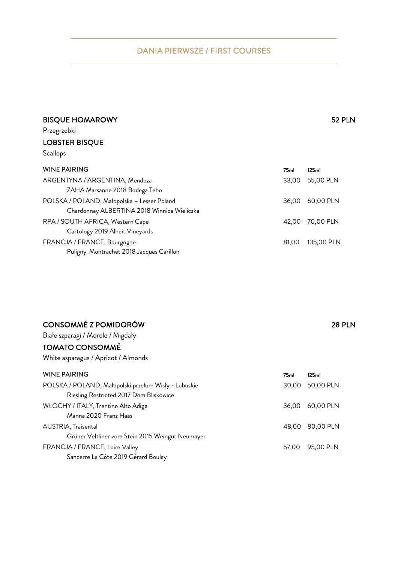## DANIA PIERWSZE / FIRST COURSES

## BISQUE HOMAROWY **EXAMPLE 20** S2 PLN

Przegrzebki

## LOBSTER BISQUE

Scallops

| <b>WINE PAIRING</b>                         | 75ml  | 125ml      |
|---------------------------------------------|-------|------------|
| ARGENTYNA / ARGENTINA, Mendoza              | 33.00 | 55,00 PLN  |
| ZAHA Marsanne 2018 Bodega Teho              |       |            |
| POLSKA / POLAND, Małopolska - Lesser Poland | 36.00 | 60,00 PLN  |
| Chardonnay ALBERTINA 2018 Winnica Wieliczka |       |            |
| RPA / SOUTH AFRICA, Western Cape            | 42.00 | 70,00 PLN  |
| Cartology 2019 Alheit Vineyards             |       |            |
| FRANCJA / FRANCE, Bourgogne                 | 81.00 | 135,00 PLN |
| Puligny-Montrachet 2018 Jacques Carillon    |       |            |

| CONSOMMÉ Z POMIDORÓW                | <b>28 PLN</b> |
|-------------------------------------|---------------|
| Białe szparagi / Morele / Migdały   |               |
| <b>TOMATO CONSOMMÉ</b>              |               |
| White asparagus / Apricot / Almonds |               |
|                                     |               |

| <b>WINE PAIRING</b>                                  | 75ml  | 125ml     |
|------------------------------------------------------|-------|-----------|
| POLSKA / POLAND, Małopolski przełom Wisły - Lubuskie | 30.00 | 50,00 PLN |
| Riesling Restricted 2017 Dom Bliskowice              |       |           |
| WŁOCHY / ITALY, Trentino Alto Adige                  | 36.00 | 60,00 PLN |
| Manna 2020 Franz Haas                                |       |           |
| <b>AUSTRIA, Traisental</b>                           | 48.00 | 80,00 PLN |
| Grüner Veltliner vom Stein 2015 Weingut Neumayer     |       |           |
| FRANCJA / FRANCE, Loire Valley                       | 57.00 | 95,00 PLN |
| Sancerre La Côte 2019 Gérard Boulay                  |       |           |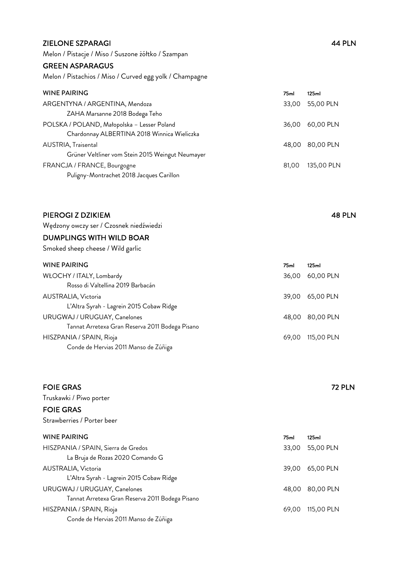#### ZIELONE SZPARAGI 44 PLN

Melon / Pistacje / Miso / Suszone żółtko / Szampan

#### GREEN ASPARAGUS

Melon / Pistachios / Miso / Curved egg yolk / Champagne

| <b>WINE PAIRING</b>                              | 75ml  | 125ml      |
|--------------------------------------------------|-------|------------|
| ARGENTYNA / ARGENTINA, Mendoza                   | 33,00 | 55,00 PLN  |
| ZAHA Marsanne 2018 Bodega Teho                   |       |            |
| POLSKA / POLAND, Małopolska - Lesser Poland      | 36.00 | 60,00 PLN  |
| Chardonnay ALBERTINA 2018 Winnica Wieliczka      |       |            |
| AUSTRIA, Traisental                              | 48.00 | 80,00 PLN  |
| Grüner Veltliner vom Stein 2015 Weingut Neumayer |       |            |
| FRANCJA / FRANCE, Bourgogne                      | 81.00 | 135,00 PLN |
| Puligny-Montrachet 2018 Jacques Carillon         |       |            |

## PIEROGI Z DZIKIEM 48 PLN Wędzony owczy ser / Czosnek niedźwiedzi DUMPLINGS WITH WILD BOAR Smoked sheep cheese / Wild garlic WINE PAIRING 75ml 125ml WŁOCHY / ITALY, Lombardy 36,00 60,00 PLN Rosso di Valtellina 2019 Barbacán AUSTRALIA, Victoria 39,00 65,00 PLN L'Altra Syrah - Lagrein 2015 Cobaw Ridge URUGWAJ / URUGUAY, Canelones 48,00 80,00 PLN Tannat Arretexa Gran Reserva 2011 Bodega Pisano HISZPANIA / SPAIN, Rioja 69,00 115,00 PLN Conde de Hervias 2011 Manso de Zúñiga

| <b>FOIE GRAS</b>                                |                  | <b>72 PLN</b> |
|-------------------------------------------------|------------------|---------------|
| Truskawki / Piwo porter                         |                  |               |
| <b>FOIE GRAS</b>                                |                  |               |
| Strawberries / Porter beer                      |                  |               |
| <b>WINE PAIRING</b>                             | 75 <sub>ml</sub> | 125ml         |
| HISZPANIA / SPAIN, Sierra de Gredos             | 33,00            | 55,00 PLN     |
| La Bruja de Rozas 2020 Comando G                |                  |               |
| <b>AUSTRALIA, Victoria</b>                      | 39,00            | 65,00 PLN     |
| L'Altra Syrah - Lagrein 2015 Cobaw Ridge        |                  |               |
| URUGWAJ / URUGUAY, Canelones                    | 48.00            | 80,00 PLN     |
| Tannat Arretexa Gran Reserva 2011 Bodega Pisano |                  |               |
| HISZPANIA / SPAIN, Rioja                        | 69,00            | 115,00 PLN    |
| Conde de Hervias 2011 Manso de Zúñiga           |                  |               |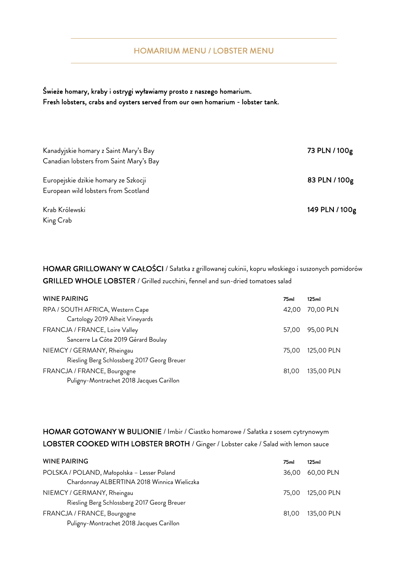#### HOMARIUM MENU / LOBSTER MENU

Świeże homary, kraby i ostrygi wyławiamy prosto z naszego homarium. Fresh lobsters, crabs and oysters served from our own homarium - lobster tank.

| Kanadyjskie homary z Saint Mary's Bay   | 73 PLN / 100g  |
|-----------------------------------------|----------------|
| Canadian lobsters from Saint Mary's Bay |                |
| Europejskie dzikie homary ze Szkocji    | 83 PLN / 100g  |
| European wild lobsters from Scotland    |                |
| Krab Królewski                          | 149 PLN / 100g |
| King Crab                               |                |

HOMAR GRILLOWANY W CAŁOŚCI / Sałatka z grillowanej cukinii, kopru włoskiego i suszonych pomidorów GRILLED WHOLE LOBSTER / Grilled zucchini, fennel and sun-dried tomatoes salad

| <b>WINE PAIRING</b>                         | 75 <sub>ml</sub> | 125ml      |
|---------------------------------------------|------------------|------------|
| RPA / SOUTH AFRICA, Western Cape            | 42.00            | 70,00 PLN  |
| Cartology 2019 Alheit Vineyards             |                  |            |
| FRANCJA / FRANCE, Loire Valley              | 57.00            | 95,00 PLN  |
| Sancerre La Côte 2019 Gérard Boulay         |                  |            |
| NIEMCY / GERMANY, Rheingau                  | 75.00            | 125,00 PLN |
| Riesling Berg Schlossberg 2017 Georg Breuer |                  |            |
| FRANCJA / FRANCE, Bourgogne                 | 81.00            | 135,00 PLN |
| Puligny-Montrachet 2018 Jacques Carillon    |                  |            |

HOMAR GOTOWANY W BULIONIE / Imbir / Ciastko homarowe / Sałatka z sosem cytrynowym LOBSTER COOKED WITH LOBSTER BROTH / Ginger / Lobster cake / Salad with lemon sauce

| <b>WINE PAIRING</b>                         | 75 <sub>ml</sub> | 125ml      |
|---------------------------------------------|------------------|------------|
| POLSKA / POLAND, Małopolska - Lesser Poland | 36.00            | 60,00 PLN  |
| Chardonnay ALBERTINA 2018 Winnica Wieliczka |                  |            |
| NIEMCY / GERMANY, Rheingau                  | 75.00            | 125,00 PLN |
| Riesling Berg Schlossberg 2017 Georg Breuer |                  |            |
| FRANCJA / FRANCE, Bourgogne                 | 81.00            | 135,00 PLN |
| Puligny-Montrachet 2018 Jacques Carillon    |                  |            |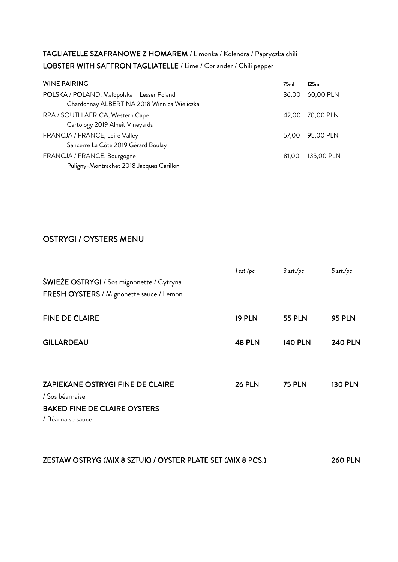# TAGLIATELLE SZAFRANOWE Z HOMAREM / Limonka / Kolendra / Papryczka chili LOBSTER WITH SAFFRON TAGLIATELLE / Lime / Coriander / Chili pepper

| <b>WINE PAIRING</b>                         | 75ml  | 125ml      |
|---------------------------------------------|-------|------------|
| POLSKA / POLAND, Małopolska - Lesser Poland | 36.00 | 60,00 PLN  |
| Chardonnay ALBERTINA 2018 Winnica Wieliczka |       |            |
| RPA / SOUTH AFRICA, Western Cape            | 42.00 | 70,00 PLN  |
| Cartology 2019 Alheit Vineyards             |       |            |
| FRANCJA / FRANCE, Loire Valley              | 57.00 | 95,00 PLN  |
| Sancerre La Côte 2019 Gérard Boulay         |       |            |
| FRANCJA / FRANCE, Bourgogne                 | 81.00 | 135,00 PLN |
| Puligny-Montrachet 2018 Jacques Carillon    |       |            |

## OSTRYGI / OYSTERS MENU

| ŚWIEŻE OSTRYGI / Sos mignonette / Cytryna<br>FRESH OYSTERS / Mignonette sauce / Lemon                                  | 1 szt./pc     | $3$ szt./pc    | 5 szt./pc      |
|------------------------------------------------------------------------------------------------------------------------|---------------|----------------|----------------|
| <b>FINE DE CLAIRE</b>                                                                                                  | <b>19 PLN</b> | <b>55 PLN</b>  | <b>95 PLN</b>  |
| <b>GILLARDEAU</b>                                                                                                      | <b>48 PLN</b> | <b>140 PLN</b> | <b>240 PLN</b> |
| <b>ZAPIEKANE OSTRYGI FINE DE CLAIRE</b><br>/ Sos béarnaise<br><b>BAKED FINE DE CLAIRE OYSTERS</b><br>/ Béarnaise sauce | <b>26 PLN</b> | <b>75 PLN</b>  | <b>130 PLN</b> |

| ZESTAW OSTRYG (MIX 8 SZTUK) / OYSTER PLATE SET (MIX 8 PCS.) | <b>260 PLN</b> |
|-------------------------------------------------------------|----------------|
|                                                             |                |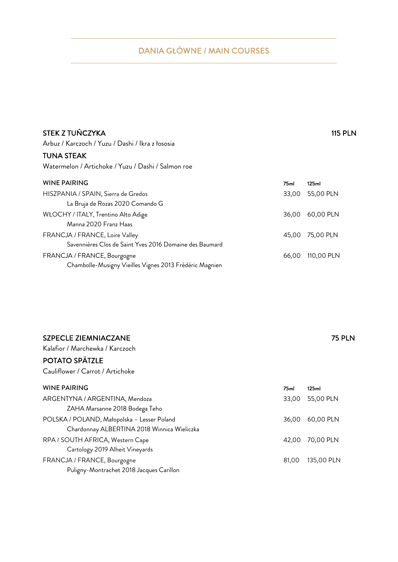# DANIA GŁÓWNE / MAIN COURSES

| Watermelon / Artichoke / Yuzu / Dashi / Salmon roe      |                  |            |
|---------------------------------------------------------|------------------|------------|
| <b>WINE PAIRING</b>                                     | 75 <sub>ml</sub> | 125ml      |
| HISZPANIA / SPAIN, Sierra de Gredos                     | 33.00            | 55,00 PLN  |
| La Bruja de Rozas 2020 Comando G                        |                  |            |
| WŁOCHY / ITALY, Trentino Alto Adige                     | 36.00            | 60,00 PLN  |
| Manna 2020 Franz Haas                                   |                  |            |
| FRANCJA / FRANCE, Loire Valley                          | 45.00            | 75,00 PLN  |
| Savennières Clos de Saint Yves 2016 Domaine des Baumard |                  |            |
| FRANCJA / FRANCE, Bourgogne                             | 66.00            | 110,00 PLN |
| Chambolle-Musigny Vieilles Vignes 2013 Frédéric Magnien |                  |            |

| <b>SZPECLE ZIEMNIACZANE</b>     | <b>75 PLN</b> |
|---------------------------------|---------------|
| Kalafior / Marchewka / Karczoch |               |

Arbuz / Karczoch / Yuzu / Dashi / Ikra z łososia

TUNA STEAK

### POTATO SPÄTZLE

Cauliflower / Carrot / Artichoke

| <b>WINE PAIRING</b>                         | 75ml  | 125ml      |
|---------------------------------------------|-------|------------|
| ARGENTYNA / ARGENTINA, Mendoza              | 33.00 | 55,00 PLN  |
| ZAHA Marsanne 2018 Bodega Teho              |       |            |
| POLSKA / POLAND, Małopolska - Lesser Poland | 36.00 | 60,00 PLN  |
| Chardonnay ALBERTINA 2018 Winnica Wieliczka |       |            |
| RPA / SOUTH AFRICA, Western Cape            | 42.00 | 70,00 PLN  |
| Cartology 2019 Alheit Vineyards             |       |            |
| FRANCJA / FRANCE, Bourgogne                 | 81.00 | 135,00 PLN |
| Puligny-Montrachet 2018 Jacques Carillon    |       |            |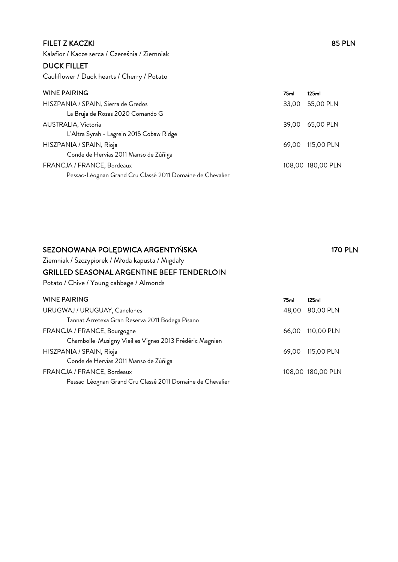#### FILET Z KACZKI 85 PLN

Kalafior / Kacze serca / Czereśnia / Ziemniak

## DUCK FILLET

Cauliflower / Duck hearts / Cherry / Potato

# WINE PAIRING 75ml 125ml 125ml

| HISZPANIA / SPAIN, Sierra de Gredos                       | 33,00 55,00 PLN   |
|-----------------------------------------------------------|-------------------|
| La Bruja de Rozas 2020 Comando G                          |                   |
| AUSTRALIA, Victoria                                       | 39,00 65,00 PLN   |
| L'Altra Syrah - Lagrein 2015 Cobaw Ridge                  |                   |
| HISZPANIA / SPAIN, Rioja                                  | 69,00 115,00 PLN  |
| Conde de Hervias 2011 Manso de Zúñiga                     |                   |
| FRANCJA / FRANCE, Bordeaux                                | 108,00 180,00 PLN |
| Pessac-Léognan Grand Cru Classé 2011 Domaine de Chevalier |                   |

# SEZONOWANA POLĘDWICA ARGENTYŃSKA 170 PLN

Ziemniak / Szczypiorek / Młoda kapusta / Migdały

#### GRILLED SEASONAL ARGENTINE BEEF TENDERLOIN

Potato / Chive / Young cabbage / Almonds

| <b>WINE PAIRING</b>                                       | 75ml  | 125ml             |
|-----------------------------------------------------------|-------|-------------------|
| URUGWAJ / URUGUAY, Canelones                              | 48.00 | 80,00 PLN         |
| Tannat Arretexa Gran Reserva 2011 Bodega Pisano           |       |                   |
| FRANCJA / FRANCE, Bourgogne                               | 66.00 | 110,00 PLN        |
| Chambolle-Musigny Vieilles Vignes 2013 Frédéric Magnien   |       |                   |
| HISZPANIA / SPAIN, Rioja                                  | 69.00 | 115,00 PLN        |
| Conde de Hervias 2011 Manso de Zúñiga                     |       |                   |
| FRANCJA / FRANCE, Bordeaux                                |       | 108,00 180,00 PLN |
| Pessac-Léognan Grand Cru Classé 2011 Domaine de Chevalier |       |                   |